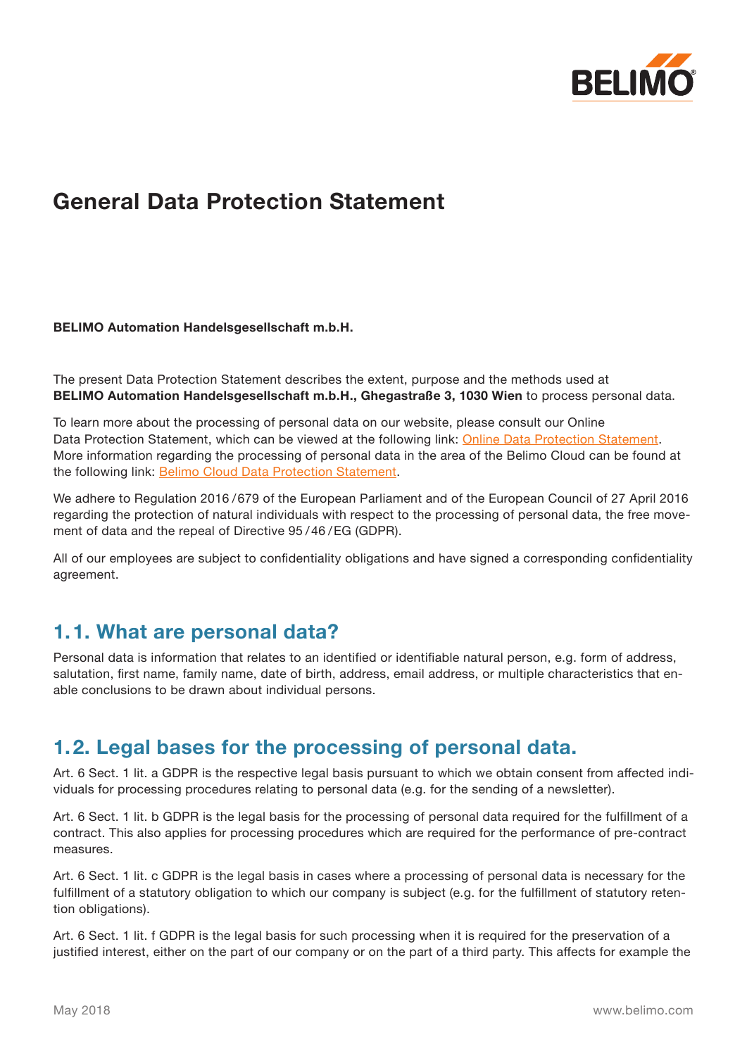

# **General Data Protection Statement**

### **BELIMO Automation Handelsgesellschaft m.b.H.**

The present Data Protection Statement describes the extent, purpose and the methods used at **BELIMO Automation Handelsgesellschaft m.b.H., Ghegastraße 3, 1030 Wien** to process personal data.

To learn more about the processing of personal data on our website, please consult our Online Data Protection Statement, which can be viewed at the following link: [Online Data Protection Statement](http://www.belimo.at/pdf/e/online_privacy_policy_en_at.pdf). More information regarding the processing of personal data in the area of the Belimo Cloud can be found at the following link: [Belimo Cloud Data Protection Statement](http://www.belimo.at/pdf/e/privacy_policy_belimo-cloud_en.pdf).

We adhere to Regulation 2016 /679 of the European Parliament and of the European Council of 27 April 2016 regarding the protection of natural individuals with respect to the processing of personal data, the free movement of data and the repeal of Directive 95 /46 /EG (GDPR).

All of our employees are subject to confidentiality obligations and have signed a corresponding confidentiality agreement.

## **1.1. What are personal data?**

Personal data is information that relates to an identified or identifiable natural person, e.g. form of address, salutation, first name, family name, date of birth, address, email address, or multiple characteristics that enable conclusions to be drawn about individual persons.

## **1.2. Legal bases for the processing of personal data.**

Art. 6 Sect. 1 lit. a GDPR is the respective legal basis pursuant to which we obtain consent from affected individuals for processing procedures relating to personal data (e.g. for the sending of a newsletter).

Art. 6 Sect. 1 lit. b GDPR is the legal basis for the processing of personal data required for the fulfillment of a contract. This also applies for processing procedures which are required for the performance of pre-contract measures.

Art. 6 Sect. 1 lit. c GDPR is the legal basis in cases where a processing of personal data is necessary for the fulfillment of a statutory obligation to which our company is subject (e.g. for the fulfillment of statutory retention obligations).

Art. 6 Sect. 1 lit. f GDPR is the legal basis for such processing when it is required for the preservation of a justified interest, either on the part of our company or on the part of a third party. This affects for example the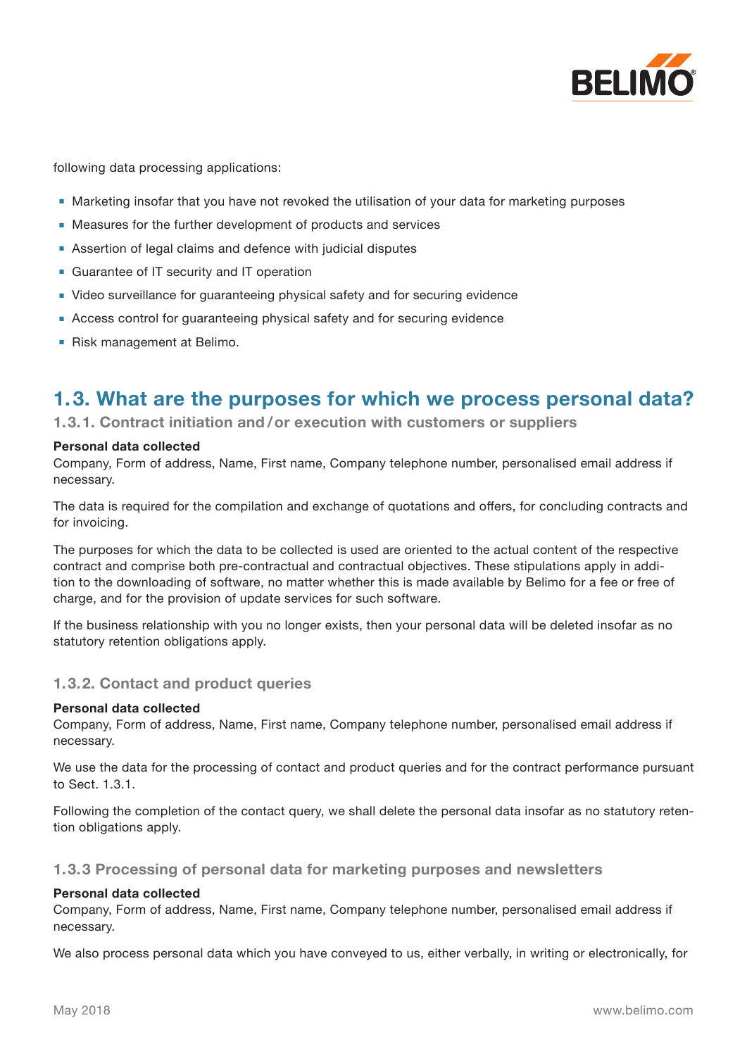

following data processing applications:

- Marketing insofar that you have not revoked the utilisation of your data for marketing purposes
- Measures for the further development of products and services
- **■** Assertion of legal claims and defence with judicial disputes
- Guarantee of IT security and IT operation
- Video surveillance for guaranteeing physical safety and for securing evidence
- Access control for guaranteeing physical safety and for securing evidence
- **■** Risk management at Belimo.

## **1.3. What are the purposes for which we process personal data?**

**1.3.1. Contract initiation and /or execution with customers or suppliers**

#### **Personal data collected**

Company, Form of address, Name, First name, Company telephone number, personalised email address if necessary.

The data is required for the compilation and exchange of quotations and offers, for concluding contracts and for invoicing.

The purposes for which the data to be collected is used are oriented to the actual content of the respective contract and comprise both pre-contractual and contractual objectives. These stipulations apply in addition to the downloading of software, no matter whether this is made available by Belimo for a fee or free of charge, and for the provision of update services for such software.

If the business relationship with you no longer exists, then your personal data will be deleted insofar as no statutory retention obligations apply.

### **1.3.2. Contact and product queries**

### **Personal data collected**

Company, Form of address, Name, First name, Company telephone number, personalised email address if necessary.

We use the data for the processing of contact and product queries and for the contract performance pursuant to Sect. 1.3.1.

Following the completion of the contact query, we shall delete the personal data insofar as no statutory retention obligations apply.

### **1.3.3 Processing of personal data for marketing purposes and newsletters**

### **Personal data collected**

Company, Form of address, Name, First name, Company telephone number, personalised email address if necessary.

We also process personal data which you have conveyed to us, either verbally, in writing or electronically, for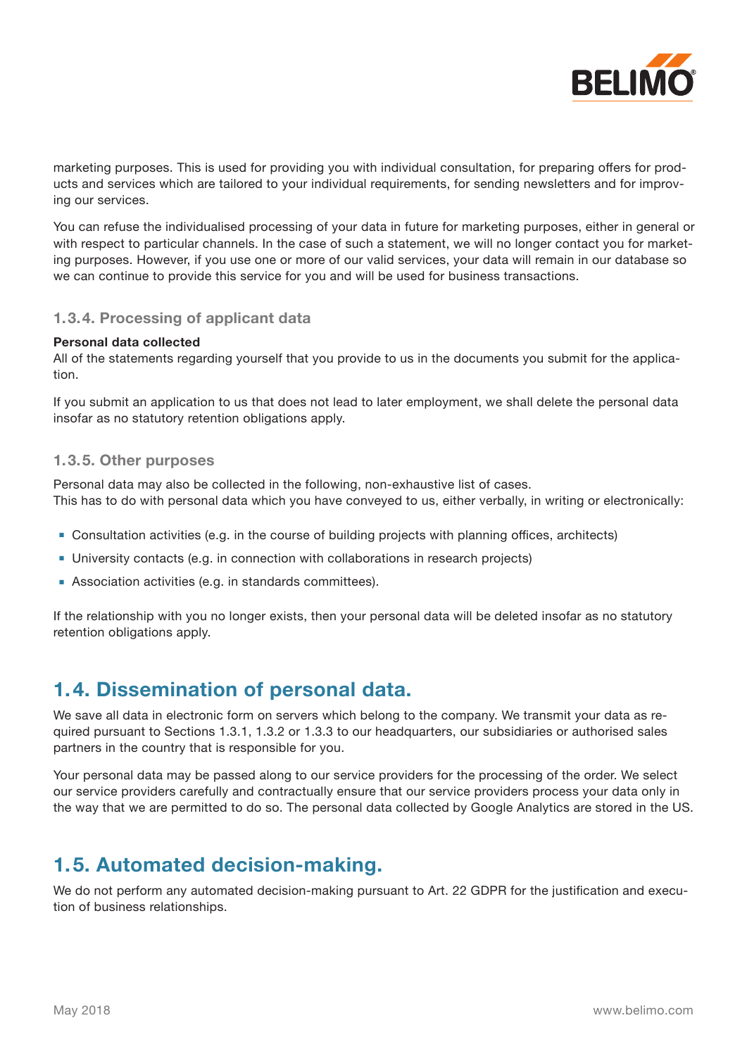

marketing purposes. This is used for providing you with individual consultation, for preparing offers for products and services which are tailored to your individual requirements, for sending newsletters and for improving our services.

You can refuse the individualised processing of your data in future for marketing purposes, either in general or with respect to particular channels. In the case of such a statement, we will no longer contact you for marketing purposes. However, if you use one or more of our valid services, your data will remain in our database so we can continue to provide this service for you and will be used for business transactions.

### **1.3.4. Processing of applicant data**

#### **Personal data collected**

All of the statements regarding yourself that you provide to us in the documents you submit for the application.

If you submit an application to us that does not lead to later employment, we shall delete the personal data insofar as no statutory retention obligations apply.

### **1.3.5. Other purposes**

Personal data may also be collected in the following, non-exhaustive list of cases. This has to do with personal data which you have conveyed to us, either verbally, in writing or electronically:

- Consultation activities (e.g. in the course of building projects with planning offices, architects)
- **■** University contacts (e.g. in connection with collaborations in research projects)
- Association activities (e.g. in standards committees).

If the relationship with you no longer exists, then your personal data will be deleted insofar as no statutory retention obligations apply.

## **1.4. Dissemination of personal data.**

We save all data in electronic form on servers which belong to the company. We transmit your data as required pursuant to Sections 1.3.1, 1.3.2 or 1.3.3 to our headquarters, our subsidiaries or authorised sales partners in the country that is responsible for you.

Your personal data may be passed along to our service providers for the processing of the order. We select our service providers carefully and contractually ensure that our service providers process your data only in the way that we are permitted to do so. The personal data collected by Google Analytics are stored in the US.

## **1.5. Automated decision-making.**

We do not perform any automated decision-making pursuant to Art. 22 GDPR for the justification and execution of business relationships.